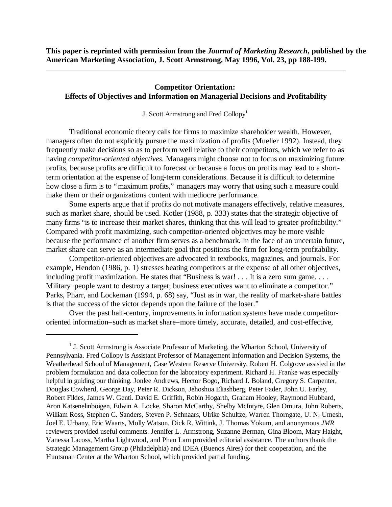**This paper is reprinted with permission from the** *Journal of Marketing Research***, published by the American Marketing Association, J. Scott Armstrong, May 1996, Vol. 23, pp 188-199.**

# **Competitor Orientation: Effects of Objectives and Information on Managerial Decisions and Profitability**

J. Scott Armstrong and Fred Collopy<sup>1</sup>

Traditional economic theory calls for firms to maximize shareholder wealth. However, managers often do not explicitly pursue the maximization of profits (Mueller 1992). Instead, they frequently make decisions so as to perform well relative to their competitors, which we refer to as having *competitor-oriented objectives.* Managers might choose not to focus on maximizing future profits, because profits are difficult to forecast or because a focus on profits may lead to a shortterm orientation at the expense of long-term considerations. Because it is difficult to determine how close a firm is to "maximum profits," managers may worry that using such a measure could make them or their organizations content with mediocre performance.

Some experts argue that if profits do not motivate managers effectively, relative measures, such as market share, should be used. Kotler (1988, p. 333) states that the strategic objective of many firms "is to increase their market shares, thinking that this will lead to greater profitability." Compared with profit maximizing, such competitor-oriented objectives may be more visible because the performance cf another firm serves as a benchmark. In the face of an uncertain future, market share can serve as an intermediate goal that positions the firm for long-term profitability.

Competitor-oriented objectives are advocated in textbooks, magazines, and journals. For example, Hendon (1986, p. 1) stresses beating competitors at the expense of all other objectives, including profit maximization. He states that "Business is war! . . . It is a zero sum game. . . . Military people want to destroy a target; business executives want to eliminate a competitor." Parks, Pharr, and Lockeman (1994, p. 68) say, "Just as in war, the reality of market-share battles is that the success of the victor depends upon the failure of the loser."

Over the past half-century, improvements in information systems have made competitororiented information–such as market share–more timely, accurate, detailed, and cost-effective,

<sup>&</sup>lt;sup>1</sup> J. Scott Armstrong is Associate Professor of Marketing, the Wharton School, University of Pennsylvania. Fred Collopy is Assistant Professor of Management Information and Decision Systems, the Weatherhead School of Management, Case Western Reserve University. Robert H. Colgrove assisted in the problem formulation and data collection for the laboratory experiment. Richard H. Franke was especially helpful in guiding our thinking. Jonlee Andrews, Hector Bogo, Richard J. Boland, Gregory S. Carpenter, Douglas Cowherd, George Day, Peter R. Dickson, Jehoshua Eliashberg, Peter Fader, John U. Farley, Robert Fildes, James W. Genti. David E. Griffith, Robin Hogarth, Graham Hooley, Raymond Hubbard, Aron Katsenelinboigen, Edwin A. Locke, Sharon McCarthy, Shelby McIntyre, Glen Omura, John Roberts, William Ross, Stephen C. Sanders, Steven P. Schnaars, Ulrike Schultze, Warren Thorngate, U. N. Umesh, Joel E. Urbany, Eric Waarts, Molly Watson, Dick R. Wittink, J. Thomas Yokum, and anonymous *JMR* reviewers provided useful comments. Jennifer L. Armstrong, Suzanne Berman, Gina Bloom, Mary Haight, Vanessa Lacoss, Martha Lightwood, and Phan Lam provided editorial assistance. The authors thank the Strategic Management Group (Philadelphia) and IDEA (Buenos Aires) for their cooperation, and the Huntsman Center at the Wharton School, which provided partial funding.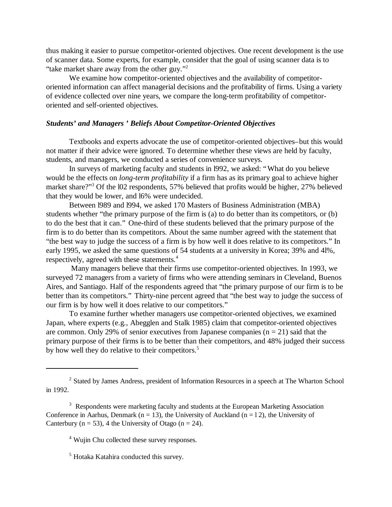thus making it easier to pursue competitor-oriented objectives. One recent development is the use of scanner data. Some experts, for example, consider that the goal of using scanner data is to "take market share away from the other guy."<sup>2</sup>

We examine how competitor-oriented objectives and the availability of competitororiented information can affect managerial decisions and the profitability of firms. Using a variety of evidence collected over nine years, we compare the long-term profitability of competitororiented and self-oriented objectives.

# *Students' and Managers ' Beliefs About Competitor-Oriented Objectives*

Textbooks and experts advocate the use of competitor-oriented objectives–but this would not matter if their advice were ignored. To determine whether these views are held by faculty, students, and managers, we conducted a series of convenience surveys.

In surveys of marketing faculty and students in l992, we asked: "What do you believe would be the effects on *long-term profitability* if a firm has as its primary goal to achieve higher market share?"<sup>3</sup> Of the l02 respondents, 57% believed that profits would be higher, 27% believed that they would be lower, and l6% were undecided.

Between l989 and l994, we asked 170 Masters of Business Administration (MBA) students whether "the primary purpose of the firm is (a) to do better than its competitors, or (b) to do the best that it can." One-third of these students believed that the primary purpose of the firm is to do better than its competitors. About the same number agreed with the statement that "the best way to judge the success of a firm is by how well it does relative to its competitors." In early 1995, we asked the same questions of 54 students at a university in Korea; 39% and 4l%, respectively, agreed with these statements.<sup>4</sup>

 Many managers believe that their firms use competitor-oriented objectives. In 1993, we surveyed 72 managers from a variety of firms who were attending seminars in Cleveland, Buenos Aires, and Santiago. Half of the respondents agreed that "the primary purpose of our firm is to be better than its competitors." Thirty-nine percent agreed that "the best way to judge the success of our firm is by how well it does relative to our competitors."

To examine further whether managers use competitor-oriented objectives, we examined Japan, where experts (e.g., Abegglen and Stalk 1985) claim that competitor-oriented objectives are common. Only 29% of senior executives from Japanese companies  $(n = 21)$  said that the primary purpose of their firms is to be better than their competitors, and 48% judged their success by how well they do relative to their competitors.<sup>5</sup>

<sup>&</sup>lt;sup>2</sup> Stated by James Andress, president of Information Resources in a speech at The Wharton School in 1992.

<sup>&</sup>lt;sup>3</sup> Respondents were marketing faculty and students at the European Marketing Association Conference in Aarhus, Denmark (n = 13), the University of Auckland (n = 12), the University of Canterbury ( $n = 53$ ), 4 the University of Otago ( $n = 24$ ).

<sup>4</sup> Wujin Chu collected these survey responses.

<sup>5</sup> Hotaka Katahira conducted this survey.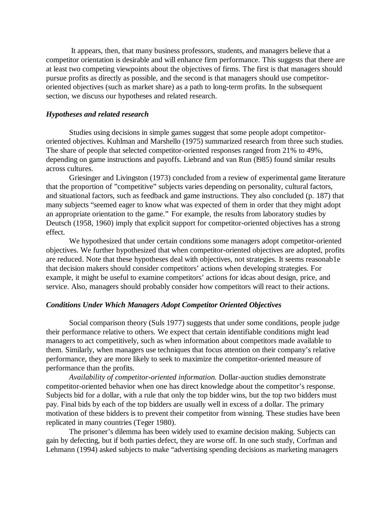It appears, then, that many business professors, students, and managers believe that a competitor orientation is desirable and will enhance firm performance. This suggests that there are at least two competing viewpoints about the objectives of firms. The first is that managers should pursue profits as directly as possible, and the second is that managers should use competitororiented objectives (such as market share) as a path to long-term profits. In the subsequent section, we discuss our hypotheses and related research.

#### *Hypotheses and related research*

Studies using decisions in simple games suggest that some people adopt competitororiented objectives. Kuhlman and Marshello (1975) summarized research from three such studies. The share of people that selected competitor-oriented responses ranged from 21% to 49%, depending on game instructions and payoffs. Liebrand and van Run (l985) found similar results across cultures.

Griesinger and Livingston (1973) concluded from a review of experimental game literature that the proportion of "competitive" subjects varies depending on personality, cultural factors, and situational factors, such as feedback and game instructions. They also concluded (p. 187) that many subjects "seemed eager to know what was expected of them in order that they might adopt an appropriate orientation to the game." For example, the results from laboratory studies by Deutsch (1958, 1960) imply that explicit support for competitor-oriented objectives has a strong effect.

We hypothesized that under certain conditions some managers adopt competitor-oriented objectives. We further hypothesized that when competitor-oriented objectives are adopted, profits are reduced. Note that these hypotheses deal with objectives, not strategies. It seems reasonab1e that decision makers should consider competitors' actions when developing strategies. For example, it might be useful to examine competitors' actions for idcas about design, price, and service. Also, managers should probably consider how competitors will react to their actions.

#### *Conditions Under Which Managers Adopt Competitor Oriented Objectives*

Social comparison theory (Suls 1977) suggests that under some conditions, people judge their performance relative to others. We expect that certain identifiable conditions might lead managers to act competitively, such as when information about competitors made available to them. Similarly, when managers use techniques that focus attention on their company's relative performance, they are more likely to seek to maximize the competitor-oriented measure of performance than the profits.

*Availability of competitor-oriented information.* Dollar-auction studies demonstrate competitor-oriented behavior when one has direct knowledge about the competitor's response. Subjects bid for a dollar, with a rule that only the top bidder wins, but the top two bidders must pay. Final bids by each of the top bidders are usually well in excess of a dollar. The primary motivation of these bidders is to prevent their competitor from winning. These studies have been replicated in many countries (Teger 1980).

The prisoner's dilemma has been widely used to examine decision making. Subjects can gain by defecting, but if both parties defect, they are worse off. In one such study, Corfman and Lehmann (1994) asked subjects to make "advertising spending decisions as marketing managers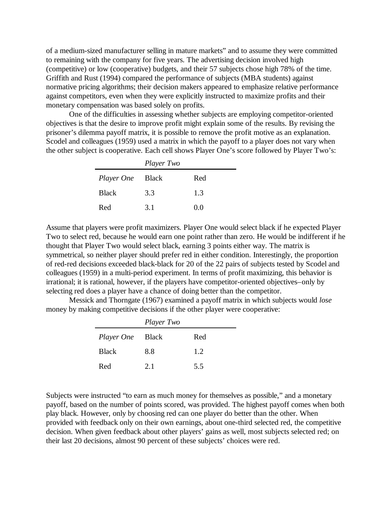of a medium-sized manufacturer selling in mature markets" and to assume they were committed to remaining with the company for five years. The advertising decision involved high (competitive) or low (cooperative) budgets, and their 57 subjects chose high 78% of the time. Griffith and Rust (1994) compared the performance of subjects (MBA students) against normative pricing algorithms; their decision makers appeared to emphasize relative performance against competitors, even when they were explicitly instructed to maximize profits and their monetary compensation was based solely on profits.

One of the difficulties in assessing whether subjects are employing competitor-oriented objectives is that the desire to improve profit might explain some of the results. By revising the prisoner's dilemma payoff matrix, it is possible to remove the profit motive as an explanation. Scodel and colleagues (1959) used a matrix in which the payoff to a player does not vary when the other subject is cooperative. Each cell shows Player One's score followed by Player Two's:

|                         | Player Two |     |
|-------------------------|------------|-----|
| <i>Player One</i> Black |            | Red |
| <b>Black</b>            | 3.3        | 1.3 |
| Red                     | 3.1        | 0.0 |

Assume that players were profit maximizers. Player One would select black if he expected Player Two to select red, because he would earn one point rather than zero. He would be indifferent if he thought that Player Two would select black, earning 3 points either way. The matrix is symmetrical, so neither player should prefer red in either condition. Interestingly, the proportion of red-red decisions exceeded black-black for 20 of the 22 pairs of subjects tested by Scodel and colleagues (1959) in a multi-period experiment. In terms of profit maximizing, this behavior is irrational; it is rational, however, if the players have competitor-oriented objectives–only by selecting red does a player have a chance of doing better than the competitor.

Messick and Thorngate (1967) examined a payoff matrix in which subjects would *lose* money by making competitive decisions if the other player were cooperative:

|              | Player Two   |     |
|--------------|--------------|-----|
| Player One   | <b>Black</b> | Red |
| <b>Black</b> | 8.8          | 1.2 |
| Red          | 2.1          | 5.5 |

Subjects were instructed "to earn as much money for themselves as possible," and a monetary payoff, based on the number of points scored, was provided. The highest payoff comes when both play black. However, only by choosing red can one player do better than the other. When provided with feedback only on their own earnings, about one-third selected red, the competitive decision. When given feedback about other players' gains as well, most subjects selected red; on their last 20 decisions, almost 90 percent of these subjects' choices were red.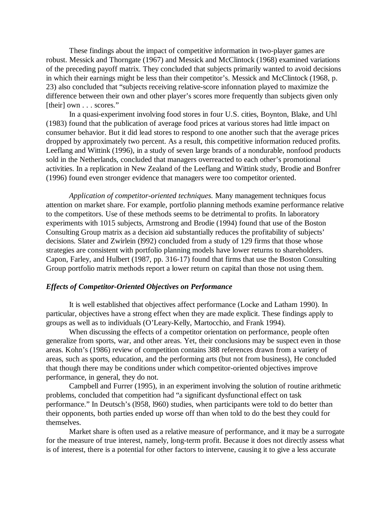These findings about the impact of competitive information in two-player games are robust. Messick and Thorngate (1967) and Messick and McClintock (1968) examined variations of the preceding payoff matrix. They concluded that subjects primarily wanted to avoid decisions in which their earnings might be less than their competitor's. Messick and McClintock (1968, p. 23) also concluded that "subjects receiving relative-score infonnation played to maximize the difference between their own and other player's scores more frequently than subjects given only [their] own . . . scores."

In a quasi-experiment involving food stores in four U.S. cities, Boynton, Blake, and Uhl (1983) found that the publication of average food prices at various stores had little impact on consumer behavior. But it did lead stores to respond to one another such that the average prices dropped by approximately two percent. As a result, this competitive information reduced profits. Leeflang and Wittink (1996), in a study of seven large brands of a nondurable, nonfood products sold in the Netherlands, concluded that managers overreacted to each other's promotional activities. In a replication in New Zealand of the Leeflang and Wittink study, Brodie and Bonfrer (1996) found even stronger evidence that managers were too competitor oriented.

*Application of competitor-oriented techniques.* Many management techniques focus attention on market share. For example, portfolio planning methods examine performance relative to the competitors. Use of these methods seems to be detrimental to profits. In laboratory experiments with 1015 subjects, Armstrong and Brodie (1994) found that use of the Boston Consulting Group matrix as a decision aid substantially reduces the profitability of subjects' decisions. Slater and Zwirlein (l992) concluded from a study of 129 firms that those whose strategies are consistent with portfolio planning models have lower returns to shareholders. Capon, Farley, and Hulbert (1987, pp. 316-17) found that firms that use the Boston Consulting Group portfolio matrix methods report a lower return on capital than those not using them.

## *Effects of Competitor-Oriented Objectives on Performance*

It is well established that objectives affect performance (Locke and Latham 1990). In particular, objectives have a strong effect when they are made explicit. These findings apply to groups as well as to individuals (O'Leary-Kelly, Martocchio, and Frank 1994).

When discussing the effects of a competitor orientation on performance, people often generalize from sports, war, and other areas. Yet, their conclusions may be suspect even in those areas. Kohn's (1986) review of competition contains 388 references drawn from a variety of areas, such as sports, education, and the performing arts (but not from business), He concluded that though there may be conditions under which competitor-oriented objectives improve performance, in general, they do not.

Campbell and Furrer (1995), in an experiment involving the solution of routine arithmetic problems, concluded that competition had "a significant dysfunctional effect on task performance." In Deutsch's (l958, l960) studies, when participants were told to do better than their opponents, both parties ended up worse off than when told to do the best they could for themselves.

Market share is often used as a relative measure of performance, and it may be a surrogate for the measure of true interest, namely, long-term profit. Because it does not directly assess what is of interest, there is a potential for other factors to intervene, causing it to give a less accurate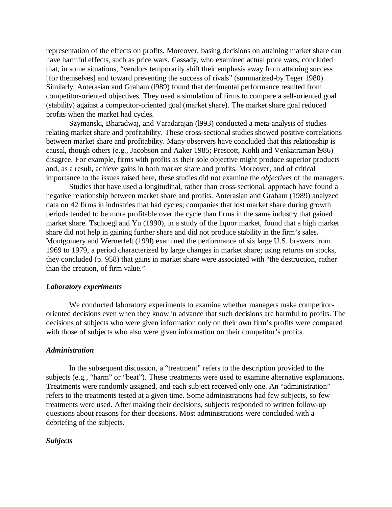representation of the effects on profits. Moreover, basing decisions on attaining market share can have harmful effects, such as price wars. Cassady, who examined actual price wars, concluded that, in some situations, "vendors temporarily shift their emphasis away from attaining success [for themselves] and toward preventing the success of rivals" (summarized-by Teger 1980). Similarly, Anterasian and Graham (l989) found that detrimental performance resulted from competitor-oriented objectives. They used a simulation of firms to compare a self-oriented goal (stability) against a competitor-oriented goal (market share). The market share goal reduced profits when the market had cycles.

Szymanski, Bharadwaj, and Varadarajan (l993) conducted a meta-analysis of studies relating market share and profitability. These cross-sectional studies showed positive correlations between market share and profitability. Many observers have concluded that this relationship is causal, though others (e.g., Jacobson and Aaker 1985; Prescott, Kohli and Venkatraman l986) disagree. For example, firms with profits as their sole objective might produce superior products and, as a result, achieve gains in both market share and profits. Moreover, and of critical importance to the issues raised here, these studies did not examine the *objectives* of the managers.

Studies that have used a longitudinal, rather than cross-sectional, approach have found a negative relationship between market share and profits. Anterasian and Graham (1989) analyzed data on 42 firms in industries that had cycles; companies that lost market share during growth periods tended to be more profitable over the cycle than firms in the same industry that gained market share. Tschoegl and Yu (1990), in a study of the liquor market, found that a high market share did not help in gaining further share and did not produce stability in the firm's sales. Montgomery and Wernerfelt (199l) examined the performance of six large U.S. brewers from 1969 to 1979, a period characterized by large changes in market share; using returns on stocks, they concluded (p. 958) that gains in market share were associated with "the destruction, rather than the creation, of firm value."

#### *Laboratory experiments*

We conducted laboratory experiments to examine whether managers make competitororiented decisions even when they know in advance that such decisions are harmful to profits. The decisions of subjects who were given information only on their own firm's profits were compared with those of subjects who also were given information on their competitor's profits.

#### *Administration*

In the subsequent discussion, a "treatment" refers to the description provided to the subjects (e.g., "harm" or "beat"). These treatments were used to examine alternative explanations. Treatments were randomly assigned, and each subject received only one. An "administration" refers to the treatments tested at a given time. Some administrations had few subjects, so few treatments were used. After making their decisions, subjects responded to written follow-up questions about reasons for their decisions. Most administrations were concluded with a debriefing of the subjects.

## *Subjects*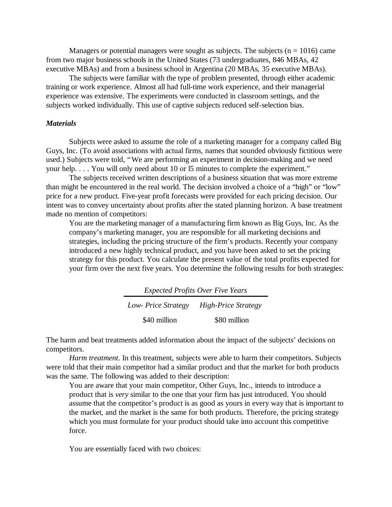Managers or potential managers were sought as subjects. The subjects ( $n = 1016$ ) came from two major business schools in the United States (73 undergraduates, 846 MBAs, 42 executive MBAs) and from a business school in Argentina (20 MBAs, 35 executive MBAs).

The subjects were familiar with the type of problem presented, through either academic training or work experience. Almost all had full-time work experience, and their managerial experience was extensive. The experiments were conducted in classroom settings, and the subjects worked individually. This use of captive subjects reduced self-selection bias.

## *Materials*

Subjects were asked to assume the role of a marketing manager for a company called Big Guys, Inc. (To avoid associations with actual firms, names that sounded obviously fictitious were used.) Subjects were told, "We are performing an experiment in decision-making and we need your help. . . . You will only need about 10 or l5 minutes to complete the experiment."

The subjects received written descriptions of a business situation that was more extreme than might be encountered in the real world. The decision involved a choice of a "high" or "low" price for a new product. Five-year profit forecasts were provided for each pricing decision. Our intent was to convey uncertainty about profits after the stated planning horizon. A base treatment made no mention of competitors:

You are the marketing manager of a manufacturing firm known as Big Guys, Inc. As the company's marketing manager, you are responsible for all marketing decisions and strategies, including the pricing structure of the firm's products. Recently your company introduced a new highly technical product, and you have been asked to set the pricing strategy for this product. You calculate the present value of the total profits expected for your firm over the next five years. You determine the following results for both strategies:

| <b>Expected Profits Over Five Years</b> |                            |  |
|-----------------------------------------|----------------------------|--|
| Low- Price Strategy                     | <b>High-Price Strategy</b> |  |
| \$40 million                            | \$80 million               |  |

The harm and beat treatments added information about the impact of the subjects' decisions on competitors.

*Harm treatment.* In this treatment, subjects were able to harm their competitors. Subjects were told that their main competitor had a similar product and that the market for both products was the same. The following was added to their description:

You are aware that your main competitor, Other Guys, Inc., intends to introduce a product that is *very* similar to the one that your firm has just introduced. You should assume that the competitor's product is as good as yours in every way that is important to the market, and the market is the same for both products. Therefore, the pricing strategy which you must formulate for your product should take into account this competitive force.

You are essentially faced with two choices: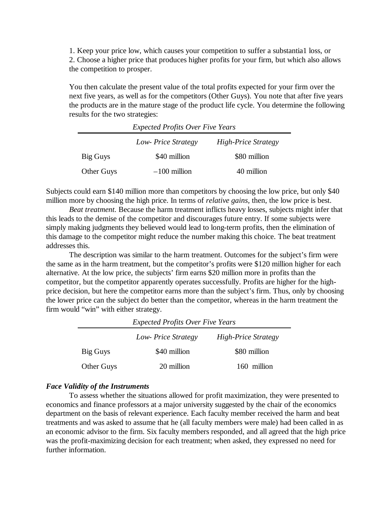1. Keep your price low, which causes your competition to suffer a substantia1 loss, or 2. Choose a higher price that produces higher profits for your firm, but which also allows the competition to prosper.

You then calculate the present value of the total profits expected for your firm over the next five years, as well as for the competitors (Other Guys). You note that after five years the products are in the mature stage of the product life cycle. You determine the following results for the two strategies:

| <b>Expected Profits Over Five Years</b>          |                |              |  |  |
|--------------------------------------------------|----------------|--------------|--|--|
| <b>High-Price Strategy</b><br>Low-Price Strategy |                |              |  |  |
| Big Guys                                         | \$40 million   | \$80 million |  |  |
| <b>Other Guys</b>                                | $-100$ million | 40 million   |  |  |

Subjects could earn \$140 million more than competitors by choosing the low price, but only \$40 million more by choosing the high price. In terms of *relative gains,* then, the low price is best.

*Beat treatment.* Because the harm treatment inflicts heavy losses, subjects might infer that this leads to the demise of the competitor and discourages future entry. If some subjects were simply making judgments they believed would lead to long-term profits, then the elimination of this damage to the competitor might reduce the number making this choice. The beat treatment addresses this.

The description was similar to the harm treatment. Outcomes for the subject's firm were the same as in the harm treatment, but the competitor's profits were \$120 million higher for each alternative. At the low price, the subjects' firm earns \$20 million more in profits than the competitor, but the competitor apparently operates successfully. Profits are higher for the highprice decision, but here the competitor earns more than the subject's firm. Thus, only by choosing the lower price can the subject do better than the competitor, whereas in the harm treatment the firm would "win" with either strategy.

| <b>Expected Profits Over Five Years</b>          |              |              |  |  |  |
|--------------------------------------------------|--------------|--------------|--|--|--|
| <b>High-Price Strategy</b><br>Low-Price Strategy |              |              |  |  |  |
| Big Guys                                         | \$40 million | \$80 million |  |  |  |
| <b>Other Guys</b>                                | 20 million   | 160 million  |  |  |  |

## *Face Validity of the Instruments*

To assess whether the situations allowed for profit maximization, they were presented to economics and finance professors at a major university suggested by the chair of the economics department on the basis of relevant experience. Each faculty member received the harm and beat treatments and was asked to assume that he (all faculty members were male) had been called in as an economic advisor to the firm. Six faculty members responded, and all agreed that the high price was the profit-maximizing decision for each treatment; when asked, they expressed no need for further information.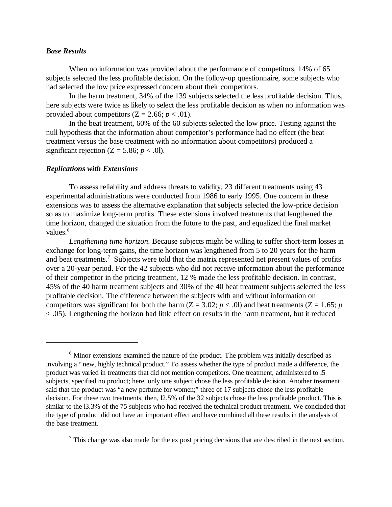## *Base Results*

When no information was provided about the performance of competitors, 14% of 65 subjects selected the less profitable decision. On the follow-up questionnaire, some subjects who had selected the low price expressed concern about their competitors.

In the harm treatment, 34% of the 139 subjects selected the less profitable decision. Thus, here subjects were twice as likely to select the less profitable decision as when no information was provided about competitors  $(Z = 2.66; p < .01)$ .

In the beat treatment, 60% of the 60 subjects selected the low price. Testing against the null hypothesis that the information about competitor's performance had no effect (the beat treatment versus the base treatment with no information about competitors) produced a significant rejection  $(Z = 5.86; p < .0)$ .

#### *Replications with Extensions*

To assess reliability and address threats to validity, 23 different treatments using 43 experimental administrations were conducted from 1986 to early 1995. One concern in these extensions was to assess the alternative explanation that subjects selected the low-price decision so as to maximize long-term profits. These extensions involved treatments that lengthened the time horizon, changed the situation from the future to the past, and equalized the final market values.<sup>6</sup>

*Lengthening time horizon*. Because subjects might be willing to suffer short-term losses in exchange for long-term gains, the time horizon was lengthened from 5 to 20 years for the harm and beat treatments.<sup>7</sup> Subjects were told that the matrix represented net present values of profits over a 20-year period. For the 42 subjects who did not receive information about the performance of their competitor in the pricing treatment, 12 % made the less profitable decision. In contrast, 45% of the 40 harm treatment subjects and 30% of the 40 beat treatment subjects selected the less profitable decision. The difference between the subjects with and without information on competitors was significant for both the harm ( $Z = 3.02$ ;  $p < .0$ ) and beat treatments ( $Z = 1.65$ ;  $p$ < .05). Lengthening the horizon had little effect on results in the harm treatment, but it reduced

 $<sup>7</sup>$  This change was also made for the ex post pricing decisions that are described in the next section.</sup>

<sup>&</sup>lt;sup>6</sup> Minor extensions examined the nature of the product. The problem was initially described as involving a "new, highly technical product." To assess whether the type of product made a difference, the product was varied in treatments that did not mention competitors. One treatment, administered to l5 subjects, specified no product; here, only one subject chose the less profitable decision. Another treatment said that the product was "a new perfume for women;" three of 17 subjects chose the less profitable decision. For these two treatments, then, l2.5% of the 32 subjects chose the less profitable product. This is similar to the 13.3% of the 75 subjects who had received the technical product treatment. We concluded that the type of product did not have an important effect and have combined all these results in the analysis of the base treatment.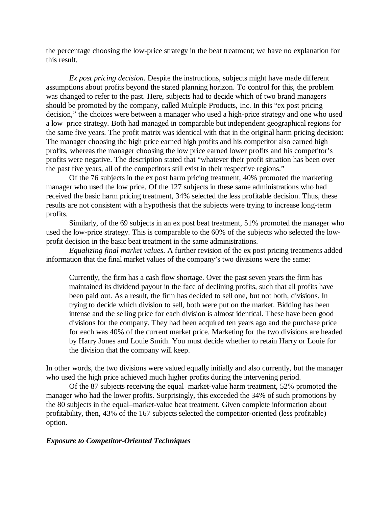the percentage choosing the low-price strategy in the beat treatment; we have no explanation for this result.

*Ex post pricing decision.* Despite the instructions, subjects might have made different assumptions about profits beyond the stated planning horizon. To control for this, the problem was changed to refer to the past. Here, subjects had to decide which of two brand managers should be promoted by the company, called Multiple Products, Inc. In this "ex post pricing decision," the choices were between a manager who used a high-price strategy and one who used a low price strategy. Both had managed in comparable but independent geographical regions for the same five years. The profit matrix was identical with that in the original harm pricing decision: The manager choosing the high price earned high profits and his competitor also earned high profits, whereas the manager choosing the low price earned lower profits and his competitor's profits were negative. The description stated that "whatever their profit situation has been over the past five years, all of the competitors still exist in their respective regions."

Of the 76 subjects in the ex post harm pricing treatment, 40% promoted the marketing manager who used the low price. Of the 127 subjects in these same administrations who had received the basic harm pricing treatment, 34% selected the less profitable decision. Thus, these results are not consistent with a hypothesis that the subjects were trying to increase long-term profits.

Similarly, of the 69 subjects in an ex post beat treatment, 51% promoted the manager who used the low-price strategy. This is comparable to the 60% of the subjects who selected the lowprofit decision in the basic beat treatment in the same administrations.

*Equalizing final market values.* A further revision of the ex post pricing treatments added information that the final market values of the company's two divisions were the same:

Currently, the firm has a cash flow shortage. Over the past seven years the firm has maintained its dividend payout in the face of declining profits, such that all profits have been paid out. As a result, the firm has decided to sell one, but not both, divisions. In trying to decide which division to sell, both were put on the market. Bidding has been intense and the selling price for each division is almost identical. These have been good divisions for the company. They had been acquired ten years ago and the purchase price for each was 40% of the current market price. Marketing for the two divisions are headed by Harry Jones and Louie Smith. You must decide whether to retain Harry or Louie for the division that the company will keep.

In other words, the two divisions were valued equally initially and also currently, but the manager who used the high price achieved much higher profits during the intervening period.

Of the 87 subjects receiving the equal–market-value harm treatment, 52% promoted the manager who had the lower profits. Surprisingly, this exceeded the 34% of such promotions by the 80 subjects in the equal–market-value beat treatment. Given complete information about profitability, then, 43% of the 167 subjects selected the competitor-oriented (less profitable) option.

## *Exposure to Competitor-Oriented Techniques*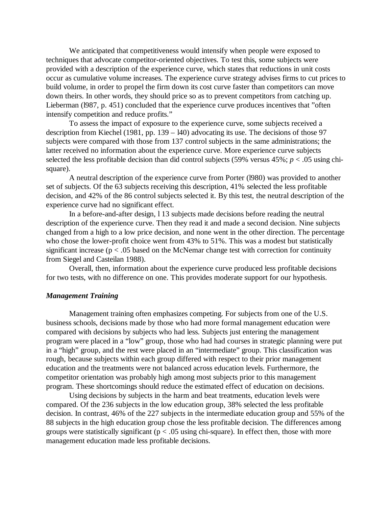We anticipated that competitiveness would intensify when people were exposed to techniques that advocate competitor-oriented objectives. To test this, some subjects were provided with a description of the experience curve, which states that reductions in unit costs occur as cumulative volume increases. The experience curve strategy advises firms to cut prices to build volume, in order to propel the firm down its cost curve faster than competitors can move down theirs. In other words, they should price so as to prevent competitors from catching up. Lieberman (l987, p. 451) concluded that the experience curve produces incentives that "often intensify competition and reduce profits."

To assess the impact of exposure to the experience curve, some subjects received a description from Kiechel (1981, pp. 139 – l40) advocating its use. The decisions of those 97 subjects were compared with those from 137 control subjects in the same administrations; the latter received no information about the experience curve. More experience curve subjects selected the less profitable decision than did control subjects (59% versus 45%; *p* < .05 using chisquare).

A neutral description of the experience curve from Porter (l980) was provided to another set of subjects. Of the 63 subjects receiving this description, 41% selected the less profitable decision, and 42% of the 86 control subjects selected it. By this test, the neutral description of the experience curve had no significant effect.

In a before-and-after design, l 13 subjects made decisions before reading the neutral description of the experience curve. Then they read it and made a second decision. Nine subjects changed from a high to a low price decision, and none went in the other direction. The percentage who chose the lower-profit choice went from 43% to 51%. This was a modest but statistically significant increase ( $p < .05$  based on the McNemar change test with correction for continuity from Siegel and Casteilan 1988).

Overall, then, information about the experience curve produced less profitable decisions for two tests, with no difference on one. This provides moderate support for our hypothesis.

## *Management Training*

Management training often emphasizes competing. For subjects from one of the U.S. business schools, decisions made by those who had more formal management education were compared with decisions by subjects who had less. Subjects just entering the management program were placed in a "low" group, those who had had courses in strategic planning were put in a "high" group, and the rest were placed in an "intermediate" group. This classification was rough, because subjects within each group differed with respect to their prior management education and the treatments were not balanced across education levels. Furthermore, the competitor orientation was probably high among most subjects prior to this management program. These shortcomings should reduce the estimated effect of education on decisions.

Using decisions by subjects in the harm and beat treatments, education levels were compared. Of the 236 subjects in the low education group, 38% selected the less profitable decision. In contrast, 46% of the 227 subjects in the intermediate education group and 55% of the 88 subjects in the high education group chose the less profitable decision. The differences among groups were statistically significant ( $p < .05$  using chi-square). In effect then, those with more management education made less profitable decisions.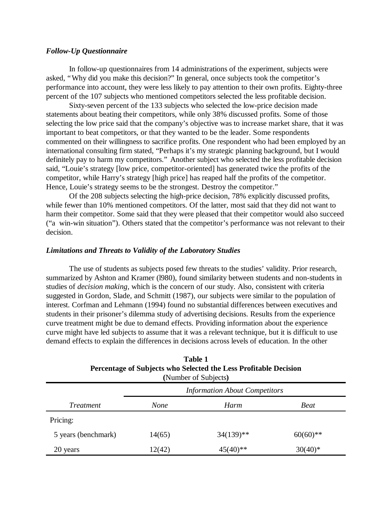## *Follow-Up Questionnaire*

In follow-up questionnaires from 14 administrations of the experiment, subjects were asked, "Why did you make this decision?" In general, once subjects took the competitor's performance into account, they were less likely to pay attention to their own profits. Eighty-three percent of the 107 subjects who mentioned competitors selected the less profitable decision.

Sixty-seven percent of the 133 subjects who selected the low-price decision made statements about beating their competitors, while only 38% discussed profits. Some of those selecting the low price said that the company's objective was to increase market share, that it was important to beat competitors, or that they wanted to be the leader. Some respondents commented on their willingness to sacrifice profits. One respondent who had been employed by an international consulting firm stated, "Perhaps it's my strategic planning background, but I would definitely pay to harm my competitors." Another subject who selected the less profitable decision said, "Louie's strategy [low price, competitor-oriented] has generated twice the profits of the competitor, while Harry's strategy [high price] has reaped half the profits of the competitor. Hence, Louie's strategy seems to be the strongest. Destroy the competitor."

Of the 208 subjects selecting the high-price decision, 78% explicitly discussed profits, while fewer than 10% mentioned competitors. Of the latter, most said that they did not want to harm their competitor. Some said that they were pleased that their competitor would also succeed ("a win-win situation"). Others stated that the competitor's performance was not relevant to their decision.

### *Limitations and Threats to Validity of the Laboratory Studies*

The use of students as subjects posed few threats to the studies' validity. Prior research, summarized by Ashton and Kramer (l980), found similarity between students and non-students in studies of *decision making,* which is the concern of our study. Also, consistent with criteria suggested in Gordon, Slade, and Schmitt (1987), our subjects were similar to the population of interest. Corfman and Lehmann (1994) found no substantial differences between executives and students in their prisoner's dilemma study of advertising decisions. Results from the experience curve treatment might be due to demand effects. Providing information about the experience curve might have led subjects to assume that it was a relevant technique, but it is difficult to use demand effects to explain the differences in decisions across levels of education. In the other

| (Number of Subjects)                 |        |             |             |  |  |  |
|--------------------------------------|--------|-------------|-------------|--|--|--|
| <b>Information About Competitors</b> |        |             |             |  |  |  |
| <i>Treatment</i>                     | None   | Harm        | <b>Beat</b> |  |  |  |
| Pricing:                             |        |             |             |  |  |  |
| 5 years (benchmark)                  | 14(65) | $34(139)**$ | $60(60)$ ** |  |  |  |
| 20 years                             | 12(42) | $45(40)$ ** | $30(40)*$   |  |  |  |

**Table 1 Percentage of Subjects who Selected the Less Profitable Decision**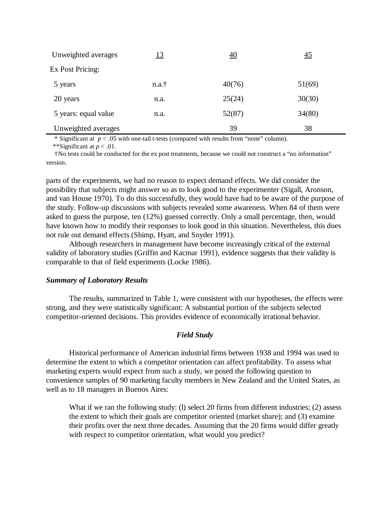| Unweighted averages  | <u> 13</u> | <u>40</u> | 45     |
|----------------------|------------|-----------|--------|
| Ex Post Pricing:     |            |           |        |
| 5 years              | n.a.†      | 40(76)    | 51(69) |
| 20 years             | n.a.       | 25(24)    | 30(30) |
| 5 years: equal value | n.a.       | 52(87)    | 34(80) |
| Unweighted averages  |            | 39        | 38     |

\* Significant at *p* < .05 with one-tail t-tests (compared with results from "none" column).

\*\*Significant at *p* < .01.

 †No tests could be conducted for the ex post treatments, because we could not construct a "no information" version.

parts of the experiments, we had no reason to expect demand effects. We did consider the possibility that subjects might answer so as to look good to the experimenter (Sigall, Aronson, and van House 1970). To do this successfully, they would have had to be aware of the purpose of the study. Follow-up discussions with subjects revealed some awareness. When 84 of them were asked to guess the purpose, ten (12%) guessed correctly. Only a small percentage, then, would have known how to modify their responses to look good in this situation. Nevertheless, this does not rule out demand effects (Shimp, Hyatt, and Snyder 1991).

Although researchers in management have become increasingly critical of the external validity of laboratory studies (Griffin and Kacmar 1991), evidence suggests that their validity is comparable to that of field experiments (Locke 1986).

# *Summary of Laboratory Results*

The results, summarized in Table 1, were consistent with our hypotheses, the effects were strong, and they were statistically significant: A substantial portion of the subjects selected competitor-oriented decisions. This provides evidence of economically irrational behavior.

# *Field Study*

Historical performance of American industrial firms between 1938 and 1994 was used to determine the extent to which a competitor orientation can affect profitability. To assess what marketing experts would expect from such a study, we posed the following question to convenience samples of 90 marketing faculty members in New Zealand and the United States, as well as to 18 managers in Buenos Aires:

What if we ran the following study: (1) select 20 firms from different industries; (2) assess the extent to which their goals are competitor oriented (market share); and (3) examine their profits over the next three decades. Assuming that the 20 firms would differ greatly with respect to competitor orientation, what would you predict?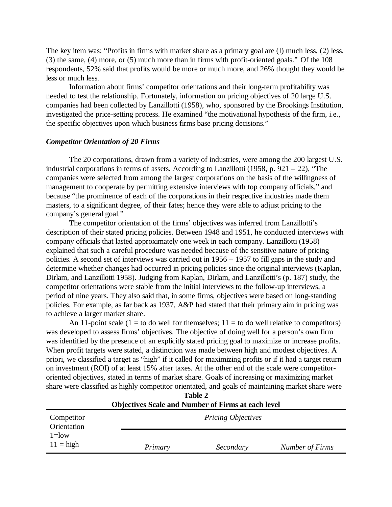The key item was: "Profits in firms with market share as a primary goal are (I) much less, (2) less, (3) the same, (4) more, or (5) much more than in firms with profit-oriented goals." Of the 108 respondents, 52% said that profits would be more or much more, and 26% thought they would be less or much less.

Information about firms' competitor orientations and their long-term profitability was needed to test the relationship. Fortunately, information on pricing objectives of 20 large U.S. companies had been collected by Lanzillotti (1958), who, sponsored by the Brookings Institution, investigated the price-setting process. He examined "the motivational hypothesis of the firm, i.e., the specific objectives upon which business firms base pricing decisions."

## *Competitor Orientation of 20 Firms*

The 20 corporations, drawn from a variety of industries, were among the 200 largest U.S. industrial corporations in terms of assets. According to Lanzillotti (1958, p. 921 – 22), "The companies were selected from among the largest corporations on the basis of the willingness of management to cooperate by permitting extensive interviews with top company officials," and because "the prominence of each of the corporations in their respective industries made them masters, to a significant degree, of their fates; hence they were able to adjust pricing to the company's general goal."

The competitor orientation of the firms' objectives was inferred from Lanzillotti's description of their stated pricing policies. Between 1948 and 1951, he conducted interviews with company officials that lasted approximately one week in each company. Lanzillotti (1958) explained that such a careful procedure was needed because of the sensitive nature of pricing policies. A second set of interviews was carried out in 1956 – 1957 to fill gaps in the study and determine whether changes had occurred in pricing policies since the original interviews (Kaplan, Dirlam, and Lanzillotti 1958). Judging from Kaplan, Dirlam, and Lanzillotti's (p. 187) study, the competitor orientations were stable from the initial interviews to the follow-up interviews, a period of nine years. They also said that, in some firms, objectives were based on long-standing policies. For example, as far back as 1937, A&P had stated that their primary aim in pricing was to achieve a larger market share.

An 11-point scale (1 = to do well for themselves;  $11 =$  to do well relative to competitors) was developed to assess firms' objectives. The objective of doing well for a person's own firm was identified by the presence of an explicitly stated pricing goal to maximize or increase profits. When profit targets were stated, a distinction was made between high and modest objectives. A priori, we classified a target as "high" if it called for maximizing profits or if it had a target return on investment (ROI) of at least 15% after taxes. At the other end of the scale were competitororiented objectives, stated in terms of market share. Goals of increasing or maximizing market share were classified as highly competitor orientated, and goals of maintaining market share were

| <b>Objectives Scale and Number of Firms at each level</b> |         |                           |                 |  |  |
|-----------------------------------------------------------|---------|---------------------------|-----------------|--|--|
| Competitor<br>Orientation                                 |         | <b>Pricing Objectives</b> |                 |  |  |
| $1 =$ low<br>$11 =$ high                                  | Primary | Secondary                 | Number of Firms |  |  |

**Table 2**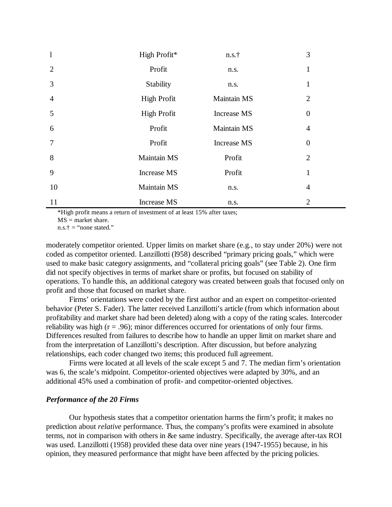| $\mathbf{1}$   | High Profit*       | n.s.†       | 3              |
|----------------|--------------------|-------------|----------------|
| $\overline{2}$ | Profit             | n.s.        | 1              |
| 3              | Stability          | n.s.        | 1              |
| $\overline{4}$ | <b>High Profit</b> | Maintain MS | $\overline{2}$ |
| 5              | <b>High Profit</b> | Increase MS | $\overline{0}$ |
| 6              | Profit             | Maintain MS | $\overline{4}$ |
| $\overline{7}$ | Profit             | Increase MS | $\overline{0}$ |
| 8              | Maintain MS        | Profit      | $\overline{2}$ |
| 9              | <b>Increase MS</b> | Profit      | $\mathbf{1}$   |
| 10             | Maintain MS        | n.s.        | 4              |
| 11             | <b>Increase MS</b> | n.s.        | $\overline{2}$ |

\*High profit means a return of investment of at least 15% after taxes;  $MS =$  market share.

 $n.s.† = "none stated."$ 

moderately competitor oriented. Upper limits on market share (e.g., to stay under 20%) were not coded as competitor oriented. Lanzillotti (l958) described "primary pricing goals," which were used to make basic category assignments, and "collateral pricing goals" (see Table 2). One firm did not specify objectives in terms of market share or profits, but focused on stability of operations. To handle this, an additional category was created between goals that focused only on profit and those that focused on market share.

Firms' orientations were coded by the first author and an expert on competitor-oriented behavior (Peter S. Fader). The latter received Lanzillotti's article (from which information about profitability and market share had been deleted) along with a copy of the rating scales. Intercoder reliability was high  $(r = .96)$ ; minor differences occurred for orientations of only four firms. Differences resulted from failures to describe how to handle an upper limit on market share and from the interpretation of Lanzillotti's description. After discussion, but before analyzing relationships, each coder changed two items; this produced full agreement.

Firms were located at all levels of the scale except 5 and 7. The median firm's orientation was 6, the scale's midpoint. Competitor-oriented objectives were adapted by 30%, and an additional 45% used a combination of profit- and competitor-oriented objectives.

## *Performance of the 20 Firms*

Our hypothesis states that a competitor orientation harms the firm's profit; it makes no prediction about *relative* performance. Thus, the company's profits were examined in absolute terms, not in comparison with others in &e same industry. Specifically, the average after-tax ROI was used. Lanzillotti (1958) provided these data over nine years (1947-1955) because, in his opinion, they measured performance that might have been affected by the pricing policies.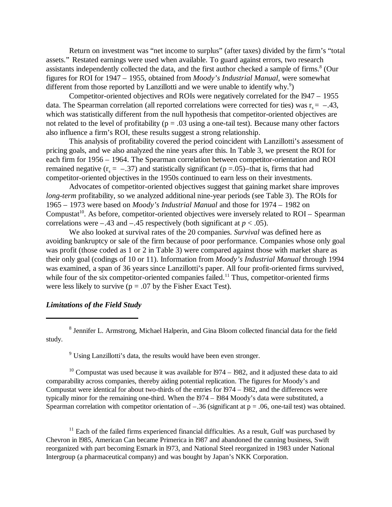Return on investment was "net income to surplus" (after taxes) divided by the firm's "total assets." Restated earnings were used when available. To guard against errors, two research assistants independently collected the data, and the first author checked a sample of firms.<sup>8</sup> (Our figures for ROI for 1947 – 1955, obtained from *Moody's Industrial Manual,* were somewhat different from those reported by Lanzillotti and we were unable to identify why. $9$ )

Competitor-oriented objectives and ROIs were negatively correlated for the l947 – 1955 data. The Spearman correlation (all reported correlations were corrected for ties) was  $r_s = -.43$ , which was statistically different from the null hypothesis that competitor-oriented objectives are not related to the level of profitability ( $p = .03$  using a one-tail test). Because many other factors also influence a firm's ROI, these results suggest a strong relationship.

This analysis of profitability covered the period coincident with Lanzillotti's assessment of pricing goals, and we also analyzed the nine years after this. In Table 3, we present the ROI for each firm for 1956 – 1964. The Spearman correlation between competitor-orientation and ROI remained negative ( $r_s = -.37$ ) and statistically significant ( $p = .05$ )-that is, firms that had competitor-oriented objectives in the 1950s continued to earn less on their investments.

Advocates of competitor-oriented objectives suggest that gaining market share improves *long-term* profitability, so we analyzed additional nine-year periods (see Table 3). The ROIs for 1965 – 1973 were based on *Moody's Industrial Manual* and those for 1974 – 1982 on Compustat<sup>10</sup>. As before, competitor-oriented objectives were inversely related to  $ROI - Spearman$ correlations were  $-.43$  and  $-.45$  respectively (both significant at  $p < .05$ ).

We also looked at survival rates of the 20 companies. *Survival* was defined here as avoiding bankruptcy or sale of the firm because of poor performance. Companies whose only goal was profit (those coded as 1 or 2 in Table 3) were compared against those with market share as their only goal (codings of 10 or 11). Information from *Moody's Industrial Manual* through 1994 was examined, a span of 36 years since Lanzillotti's paper. All four profit-oriented firms survived, while four of the six competitor-oriented companies failed.<sup>11</sup> Thus, competitor-oriented firms were less likely to survive ( $p = .07$  by the Fisher Exact Test).

## *Limitations of the Field Study*

<sup>8</sup> Jennifer L. Armstrong, Michael Halperin, and Gina Bloom collected financial data for the field study.

<sup>9</sup> Using Lanzillotti's data, the results would have been even stronger.

<sup>10</sup> Compustat was used because it was available for  $1974 - 1982$ , and it adjusted these data to aid comparability across companies, thereby aiding potential replication. The figures for Moody's and Compustat were identical for about two-thirds of the entries for l974 – l982, and the differences were typically minor for the remaining one-third. When the l974 – l984 Moody's data were substituted, a Spearman correlation with competitor orientation of  $-.36$  (significant at  $p = .06$ , one-tail test) was obtained.

 $11$  Each of the failed firms experienced financial difficulties. As a result, Gulf was purchased by Chevron in l985, American Can became Primerica in l987 and abandoned the canning business, Swift reorganized with part becoming Esmark in l973, and National Steel reorganized in 1983 under National Intergroup (a pharmaceutical company) and was bought by Japan's NKK Corporation.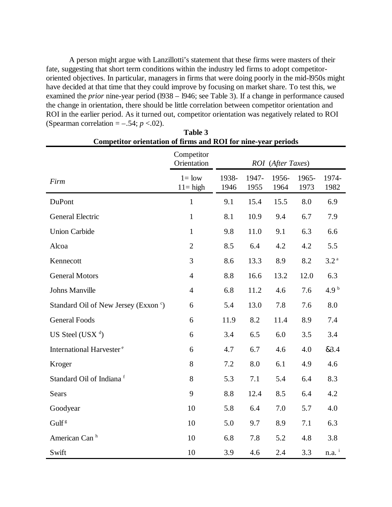A person might argue with Lanzillotti's statement that these firms were masters of their fate, suggesting that short term conditions within the industry led firms to adopt competitororiented objectives. In particular, managers in firms that were doing poorly in the mid-l950s might have decided at that time that they could improve by focusing on market share. To test this, we examined the *prior* nine-year period (1938 – 1946; see Table 3). If a change in performance caused the change in orientation, there should be little correlation between competitor orientation and ROI in the earlier period. As it turned out, competitor orientation was negatively related to ROI (Spearman correlation  $=$  –.54;  $p < .02$ ).

**Table 3**

| Competitor orientation of firms and ROI for nine-year periods |                           |                   |               |               |               |                     |  |
|---------------------------------------------------------------|---------------------------|-------------------|---------------|---------------|---------------|---------------------|--|
|                                                               | Competitor<br>Orientation | ROI (After Taxes) |               |               |               |                     |  |
| Firm                                                          | $l = low$<br>$11 = high$  | 1938-<br>1946     | 1947-<br>1955 | 1956-<br>1964 | 1965-<br>1973 | 1974-<br>1982       |  |
| DuPont                                                        | $\mathbf{1}$              | 9.1               | 15.4          | 15.5          | 8.0           | 6.9                 |  |
| <b>General Electric</b>                                       | $\mathbf{1}$              | 8.1               | 10.9          | 9.4           | 6.7           | 7.9                 |  |
| <b>Union Carbide</b>                                          | $\mathbf{1}$              | 9.8               | 11.0          | 9.1           | 6.3           | 6.6                 |  |
| Alcoa                                                         | $\overline{2}$            | 8.5               | 6.4           | 4.2           | 4.2           | 5.5                 |  |
| Kennecott                                                     | 3                         | 8.6               | 13.3          | 8.9           | 8.2           | 3.2 <sup>a</sup>    |  |
| <b>General Motors</b>                                         | $\overline{4}$            | 8.8               | 16.6          | 13.2          | 12.0          | 6.3                 |  |
| Johns Manville                                                | $\overline{4}$            | 6.8               | 11.2          | 4.6           | 7.6           | 4.9 <sup>b</sup>    |  |
| Standard Oil of New Jersey (Exxon c)                          | 6                         | 5.4               | 13.0          | 7.8           | 7.6           | 8.0                 |  |
| <b>General Foods</b>                                          | 6                         | 11.9              | 8.2           | 11.4          | 8.9           | 7.4                 |  |
| US Steel (USX $d$ )                                           | 6                         | 3.4               | 6.5           | 6.0           | 3.5           | 3.4                 |  |
| International Harvester <sup>e</sup>                          | 6                         | 4.7               | 6.7           | 4.6           | 4.0           | &3.4                |  |
| Kroger                                                        | 8                         | 7.2               | 8.0           | 6.1           | 4.9           | 4.6                 |  |
| Standard Oil of Indiana <sup>f</sup>                          | 8                         | 5.3               | 7.1           | 5.4           | 6.4           | 8.3                 |  |
| Sears                                                         | 9                         | 8.8               | 12.4          | 8.5           | 6.4           | 4.2                 |  |
| Goodyear                                                      | 10                        | 5.8               | 6.4           | 7.0           | 5.7           | 4.0                 |  |
| Gulf <sup>g</sup>                                             | 10                        | 5.0               | 9.7           | 8.9           | 7.1           | 6.3                 |  |
| American Can <sup>h</sup>                                     | 10                        | 6.8               | 7.8           | 5.2           | 4.8           | 3.8                 |  |
| Swift                                                         | 10                        | 3.9               | 4.6           | 2.4           | 3.3           | $n.a.$ <sup>i</sup> |  |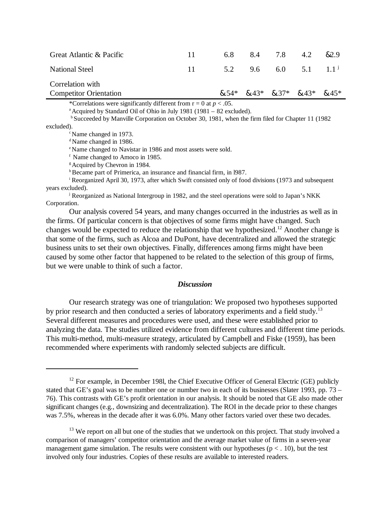| Great Atlantic & Pacific                          | 11. | 6.8 | 8.4 | 7.8 | 4.2                                     | .&2.9 |
|---------------------------------------------------|-----|-----|-----|-----|-----------------------------------------|-------|
| <b>National Steel</b>                             | 11  |     |     |     | 5.2 9.6 6.0 5.1 $1.1^{\circ}$           |       |
| Correlation with<br><b>Competitor Orientation</b> |     |     |     |     | $8.54*$ $8.43*$ $8.37*$ $8.43*$ $8.45*$ |       |

\*Correlations were significantly different from  $r = 0$  at  $p < .05$ .

 $^{\circ}$ Acquired by Standard Oil of Ohio in July 1981 (1981 – 82 excluded).

<sup>b</sup> Succeeded by Manville Corporation on October 30, 1981, when the firm filed for Chapter 11 (1982)

excluded).

<sup>c</sup>Name changed in 1973.

 $d$ Name changed in 1986.

<sup>e</sup>Name changed to Navistar in 1986 and most assets were sold.

 $f$  Name changed to Amoco in 1985.

<sup>g</sup> Acquired by Chevron in 1984.

h Became part of Primerica, an insurance and financial firm, in 1987.

<sup>i</sup> Reorganized April 30, 1973, after which Swift consisted only of food divisions (1973 and subsequent years excluded).

j Reorganized as National Intergroup in 1982, and the steel operations were sold to Japan's NKK Corporation.

Our analysis covered 54 years, and many changes occurred in the industries as well as in the firms. Of particular concern is that objectives of some firms might have changed. Such changes would be expected to reduce the relationship that we hypothesized.<sup>12</sup> Another change is that some of the firms, such as Alcoa and DuPont, have decentralized and allowed the strategic business units to set their own objectives. Finally, differences among firms might have been caused by some other factor that happened to be related to the selection of this group of firms, but we were unable to think of such a factor.

## *Discussion*

Our research strategy was one of triangulation: We proposed two hypotheses supported by prior research and then conducted a series of laboratory experiments and a field study.<sup>13</sup> Several different measures and procedures were used, and these were established prior to analyzing the data. The studies utilized evidence from different cultures and different time periods. This multi-method, multi-measure strategy, articulated by Campbell and Fiske (1959), has been recommended where experiments with randomly selected subjects are difficult.

 $12$  For example, in December 1981, the Chief Executive Officer of General Electric (GE) publicly stated that GE's goal was to be number one or number two in each of its businesses (Slater 1993, pp. 73 – 76). This contrasts with GE's profit orientation in our analysis. It should be noted that GE also made other significant changes (e.g., downsizing and decentralization). The ROI in the decade prior to these changes was 7.5%, whereas in the decade after it was 6.0%. Many other factors varied over these two decades.

 $13$  We report on all but one of the studies that we undertook on this project. That study involved a comparison of managers' competitor orientation and the average market value of firms in a seven-year management game simulation. The results were consistent with our hypotheses ( $p < 0.10$ ), but the test involved only four industries. Copies of these results are available to interested readers.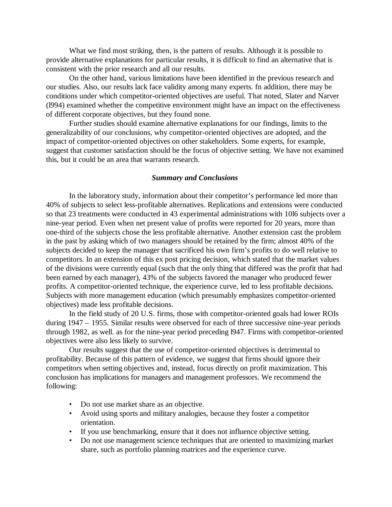What we find most striking, then, is the pattern of results. Although it is possible to provide alternative explanations for particular results, it is difficult to find an alternative that is consistent with the prior research and all our results.

On the other hand, various limitations have been identified in the previous research and our studies. Also, our results lack face validity among many experts. fn addition, there may be conditions under which competitor-oriented objectives are useful. That noted, Slater and Narver (l994) examined whether the competitive environment might have an impact on the effectiveness of different corporate objectives, but they found none.

Further studies should examine alternative explanations for our findings, limits to the generalizability of our conclusions, why competitor-oriented objectives are adopted, and the impact of competitor-oriented objectives on other stakeholders. Some experts, for example, suggest that customer satisfaction should be the focus of objective setting. We have not examined this, but it could be an area that warrants research.

## *Summary and Conclusions*

In the laboratory study, information about their competitor's performance led more than 40% of subjects to select less-profitable alternatives. Replications and extensions were conducted so that 23 treatments were conducted in 43 experimental administrations with 10l6 subjects over a nine-year period. Even when net present value of profits were reported for 20 years, more than one-third of the subjects chose the less profitable alternative. Another extension cast the problem in the past by asking which of two managers should be retained by the firm; almost 40% of the subjects decided to keep the manager that sacrificed his own firm's profits to do well relative to competitors. In an extension of this ex post pricing decision, which stated that the market values of the divisions were currently equal (such that the only thing that differed was the profit that had been earned by each manager), 43% of the subjects favored the manager who produced fewer profits. A competitor-oriented technique, the experience curve, led to less profitable decisions. Subjects with more management education (which presumably emphasizes competitor-oriented objectives) made less profitable decisions.

In the field study of 20 U.S. firms, those with competitor-oriented goals had lower ROIs during 1947 – 1955. Similar results were observed for each of three successive nine-year periods through 1982, as well. as for the nine-year period preceding l947. Firms with competitor-oriented objectives were also less likely to survive.

Our results suggest that the use of competitor-oriented objectives is detrimental to profitability. Because of this pattern of evidence, we suggest that firms should ignore their competitors when setting objectives and, instead, focus directly on profit maximization. This conclusion has implications for managers and management professors. We recommend the following:

- Do not use market share as an objective.
- Avoid using sports and military analogies, because they foster a competitor orientation.
- If you use benchmarking, ensure that it does not influence objective setting.
- Do not use management science techniques that are oriented to maximizing market share, such as portfolio planning matrices and the experience curve.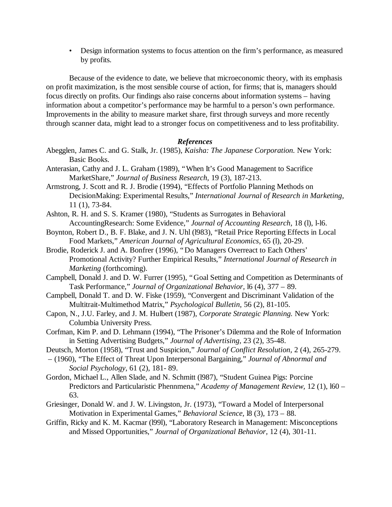• Design information systems to focus attention on the firm's performance, as measured by profits.

Because of the evidence to date, we believe that microeconomic theory, with its emphasis on profit maximization, is the most sensible course of action, for firms; that is, managers should focus directly on profits. Our findings also raise concerns about information systems – having information about a competitor's performance may be harmful to a person's own performance. Improvements in the ability to measure market share, first through surveys and more recently through scanner data, might lead to a stronger focus on competitiveness and to less profitability.

## *References*

- Abegglen, James C. and G. Stalk, Jr. (1985), *Kaisha: The Japanese Corporation.* New York: Basic Books.
- Anterasian, Cathy and J. L. Graham (1989), "When It's Good Management to Sacrifice MarketShare," *Journal of Business Research,* 19 (3), 187-213.
- Armstrong, J. Scott and R. J. Brodie (1994), "Effects of Portfolio Planning Methods on DecisionMaking: Experimental Results," *International Journal of Research in Marketing,* 11 (1), 73-84.
- Ashton, R. H. and S. S. Kramer (1980), "Students as Surrogates in Behavioral AccountingResearch: Some Evidence," *Journal of Accounting Research,* 18 (l), l-l6.
- Boynton, Robert D., B. F. Blake, and J. N. Uhl (l983), "Retail Price Reporting Effects in Local Food Markets," *American Journal of Agricultural Economics,* 65 (l), 20-29.
- Brodie, Roderick J. and A. Bonfrer (1996), "Do Managers Overreact to Each Others' Promotional Activity? Further Empirical Results," *International Journal of Research in Marketing* (forthcoming).
- Campbell, Donald J. and D. W. Furrer (1995), "Goal Setting and Competition as Determinants of Task Performance," *Journal of Organizational Behavior,* l6 (4), 377 – 89.
- Campbell, Donald T. and D. W. Fiske (1959), "Convergent and Discriminant Validation of the Multitrait-Multimethod Matrix," *Psychological Bulletin,* 56 (2), 81-105.
- Capon, N., J.U. Farley, and J. M. Hulbert (1987), *Corporate Strategic Planning.* New York: Columbia University Press.
- Corfman, Kim P. and D. Lehmann (1994), "The Prisoner's Dilemma and the Role of Information in Setting Advertising Budgets," *Journal of Advertising,* 23 (2), 35-48.
- Deutsch, Morton (1958), "Trust and Suspicion," *Journal of Conflict Resolution,* 2 (4), 265-279.
- (1960), "The Effect of Threat Upon Interpersonal Bargaining," *Journal of Abnormal and Social Psychology,* 61 (2), 181- 89.
- Gordon, Michael L., Allen Slade, and N. Schmitt (l987), "Student Guinea Pigs: Porcine Predictors and Particularistic Phennmena," *Academy of Management Review,* 12 (1), l60 – 63.
- Griesinger, Donald W. and J. W. Livingston, Jr. (1973), "Toward a Model of Interpersonal Motivation in Experimental Games," *Behavioral Science,* l8 (3), 173 – 88.
- Griffin, Ricky and K. M. Kacmar (l99l), "Laboratory Research in Management: Misconceptions and Missed Opportunities," *Journal of Organizational Behavior,* 12 (4), 301-11.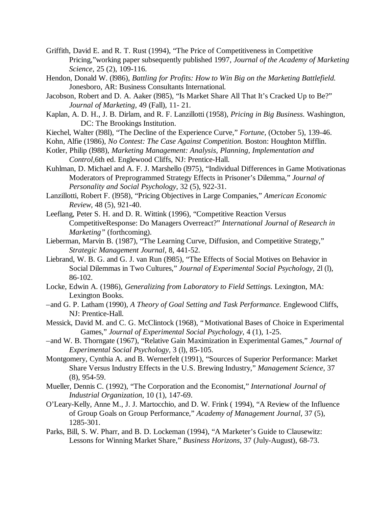- Griffith, David E. and R. T. Rust (1994), "The Price of Competitiveness in Competitive Pricing,"working paper subsequently published 1997, *Journal of the Academy of Marketing Science*, 25 (2), 109-116.
- Hendon, Donald W. (l986), *Battling for Profits: How to Win Big on the Marketing Battlefield.* Jonesboro, AR: Business Consultants International.
- Jacobson, Robert and D. A. Aaker (l985), "Is Market Share All That It's Cracked Up to Be?" *Journal of Marketing,* 49 (Fall), 11- 21.
- Kaplan, A. D. H., J. B. Dirlam, and R. F. Lanzillotti (1958), *Pricing in Big Business.* Washington, DC: The Brookings Institution.
- Kiechel, Walter (l98l), "The Decline of the Experience Curve," *Fortune,* (October 5), 139-46.
- Kohn, Alfie (1986), *No Contest: The Case Against Competition.* Boston: Houghton Mifflin.
- Kotler, Philip (l988), *Marketing Management: Analysis, Planning, Implementation and Control,*6th ed. Englewood Cliffs, NJ: Prentice-Hall.
- Kuhlman, D. Michael and A. F. J. Marshello (l975), "Individual Differences in Game Motivationas Moderators of Preprogrammed Strategy Effects in Prisoner's Dilemma," *Journal of Personality and Social Psychology,* 32 (5), 922-31.
- Lanzillotti, Robert F. (l958), "Pricing Objectives in Large Companies," *American Economic Review,* 48 (5), 921-40.
- Leeflang, Peter S. H. and D. R. Wittink (1996), "Competitive Reaction Versus CompetitiveResponse: Do Managers Overreact?" *International Journal of Research in Marketing"* (forthcoming).
- Lieberman, Marvin B. (1987), "The Learning Curve, Diffusion, and Competitive Strategy," *Strategic Management Journal,* 8, 441-52.
- Liebrand, W. B. G. and G. J. van Run (l985), "The Effects of Social Motives on Behavior in Social Dilemmas in Two Cultures," *Journal of Experimental Social Psychology,* 2l (l), 86-102.
- Locke, Edwin A. (1986), *Generalizing from Laboratory to Field Settings.* Lexington, MA: Lexington Books.
- –and G. P. Latham (1990), *A Theory of Goal Setting and Task Performance.* Englewood Cliffs, NJ: Prentice-Hall.
- Messick, David M. and C. G. McClintock (1968), "Motivational Bases of Choice in Experimental Games," *Journal of Experimental Social Psychology,* 4 (1), 1-25.
- –and W. B. Thorngate (1967), "Relative Gain Maximization in Experimental Games," *Journal of Experimental Social Psychology,* 3 (l), 85-105.
- Montgomery, Cynthia A. and B. Wernerfelt (1991), "Sources of Superior Performance: Market Share Versus Industry Effects in the U.S. Brewing Industry," *Management Science,* 37 (8), 954-59.
- Mueller, Dennis C. (1992), "The Corporation and the Economist," *International Journal of Industrial Organization,* 10 (1), 147-69.
- O'Leary-Kelly, Anne M., J. J. Martocchio, and D. W. Frink ( 1994), "A Review of the Influence of Group Goals on Group Performance," *Academy of Management Journal,* 37 (5), 1285-301.
- Parks, Bill, S. W. Pharr, and B. D. Lockeman (1994), "A Marketer's Guide to Clausewitz: Lessons for Winning Market Share," *Business Horizons,* 37 (July-August), 68-73.